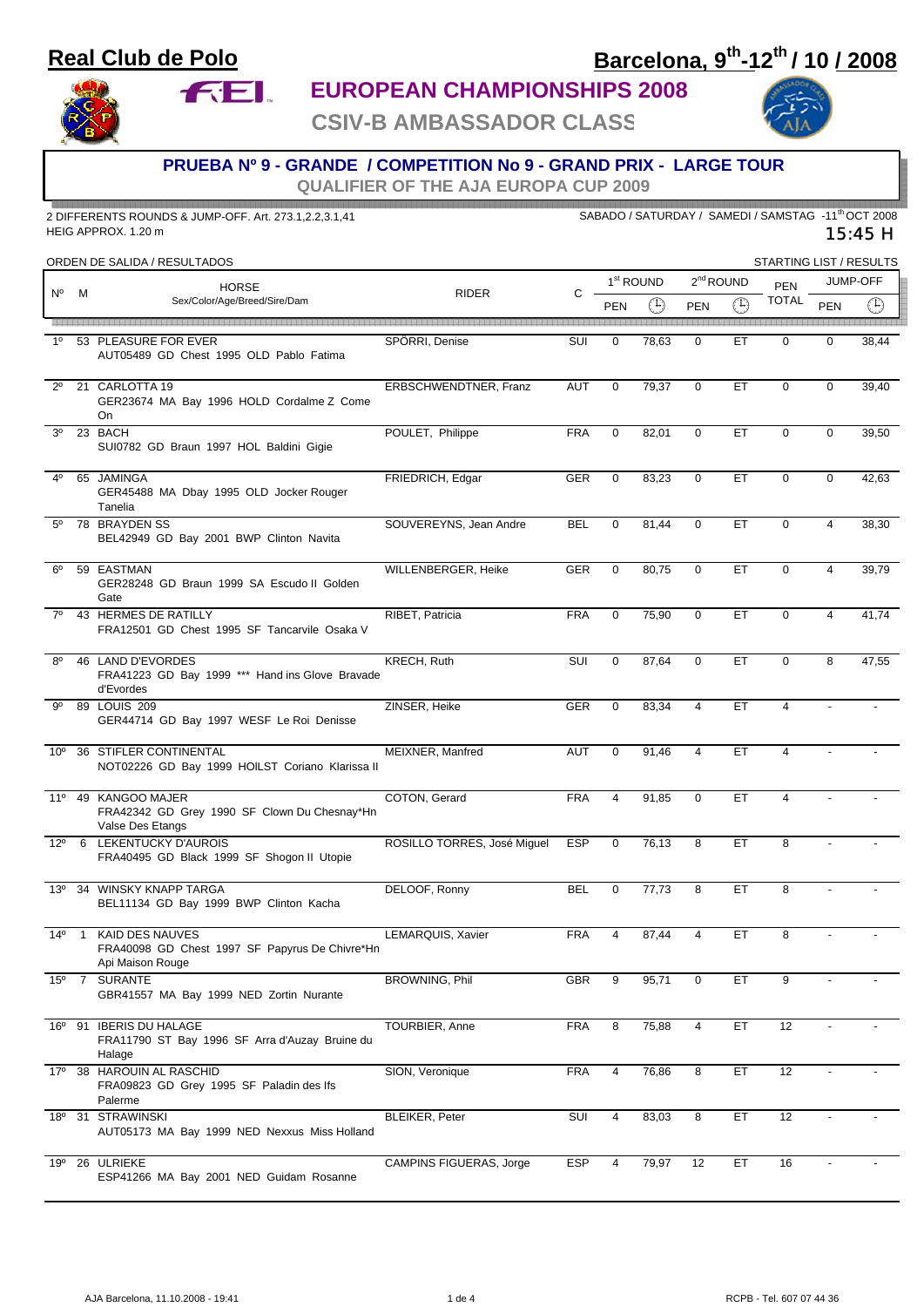### **Real Club de Polo**

**FEL** 

# **Barcelona, 9th-12th / 10 / 2008**

**EUROPEAN CHAMPIONSHIPS 2008**

**CSIV-B AMBASSADOR CLASS**



#### **PRUEBA Nº 9 - GRANDE / COMPETITION No 9 - GRAND PRIX - LARGE TOUR**

**QUALIFIER OF THE AJA EUROPA CUP 2009**

| 2 DIFFERENTS ROUNDS & JUMP-OFF. Art. 273.1,2.2,3.1,41<br>HEIG APPROX. 1.20 m |                |                                                                                              |                             | SABADO / SATURDAY / SAMEDI / SAMSTAG -11 <sup>th</sup> OCT 2008<br>15:45 H |                       |             |                |             |                         |                |             |  |
|------------------------------------------------------------------------------|----------------|----------------------------------------------------------------------------------------------|-----------------------------|----------------------------------------------------------------------------|-----------------------|-------------|----------------|-------------|-------------------------|----------------|-------------|--|
|                                                                              |                | ORDEN DE SALIDA / RESULTADOS                                                                 |                             |                                                                            |                       |             |                |             | STARTING LIST / RESULTS |                |             |  |
| N°                                                                           |                | <b>HORSE</b><br>Sex/Color/Age/Breed/Sire/Dam                                                 | <b>RIDER</b>                | C                                                                          | 1 <sup>st</sup> ROUND |             | $2nd$ ROUND    |             | <b>PEN</b>              | JUMP-OFF       |             |  |
|                                                                              | м              |                                                                                              |                             |                                                                            | <b>PEN</b>            | $\bigoplus$ | PEN            | $\bigoplus$ | <b>TOTAL</b>            | PEN            | $\bigoplus$ |  |
| $1^{\circ}$                                                                  |                |                                                                                              |                             |                                                                            |                       |             |                |             | $\mathbf 0$             | $\mathbf 0$    |             |  |
|                                                                              |                | 53 PLEASURE FOR EVER<br>AUT05489 GD Chest 1995 OLD Pablo Fatima                              | SPÖRRI, Denise              | SUI                                                                        | 0                     | 78,63       | $\mathbf 0$    | ET          |                         |                | 38,44       |  |
| $2^{\circ}$                                                                  |                | 21 CARLOTTA 19<br>GER23674 MA Bay 1996 HOLD Cordalme Z Come<br>On                            | ERBSCHWENDTNER, Franz       | <b>AUT</b>                                                                 | $\mathbf{0}$          | 79,37       | $\mathbf 0$    | ET          | $\mathbf 0$             | $\mathbf 0$    | 39,40       |  |
| 3 <sup>0</sup>                                                               |                | 23 BACH<br>SUI0782 GD Braun 1997 HOL Baldini Gigie                                           | POULET, Philippe            | <b>FRA</b>                                                                 | $\mathbf 0$           | 82,01       | $\mathbf 0$    | ET          | $\mathbf 0$             | $\mathbf 0$    | 39,50       |  |
| 40                                                                           |                | 65 JAMINGA<br>GER45488 MA Dbay 1995 OLD Jocker Rouger<br>Tanelia                             | FRIEDRICH, Edgar            | GER                                                                        | $\mathbf{0}$          | 83,23       | $\mathbf 0$    | ET          | $\Omega$                | $\mathbf 0$    | 42,63       |  |
| $5^{\circ}$                                                                  |                | 78 BRAYDEN SS<br>BEL42949 GD Bay 2001 BWP Clinton Navita                                     | SOUVEREYNS, Jean Andre      | <b>BEL</b>                                                                 | $\mathbf 0$           | 81,44       | $\mathbf 0$    | ET          | $\mathbf 0$             | $\overline{4}$ | 38,30       |  |
| $6^{\circ}$                                                                  |                | 59 EASTMAN<br>GER28248 GD Braun 1999 SA Escudo II Golden<br>Gate                             | WILLENBERGER, Heike         | GER                                                                        | $\mathbf 0$           | 80,75       | $\mathbf{0}$   | <b>ET</b>   | $\mathbf 0$             | $\overline{4}$ | 39,79       |  |
| $7^\circ$                                                                    |                | 43 HERMES DE RATILLY<br>FRA12501 GD Chest 1995 SF Tancarvile Osaka V                         | RIBET, Patricia             | <b>FRA</b>                                                                 | $\mathbf 0$           | 75,90       | $\mathbf 0$    | ET          | $\mathbf 0$             | 4              | 41,74       |  |
| $8^{\circ}$                                                                  |                | 46 LAND D'EVORDES<br>FRA41223 GD Bay 1999 *** Hand ins Glove Bravade<br>d'Evordes            | KRECH, Ruth                 | SUI                                                                        | $\mathbf{0}$          | 87,64       | $\mathbf 0$    | ET.         | $\mathbf 0$             | 8              | 47,55       |  |
| .go                                                                          |                | 89 LOUIS 209<br>GER44714 GD Bay 1997 WESF Le Roi Denisse                                     | ZINSER, Heike               | GER                                                                        | $\mathbf 0$           | 83,34       | 4              | ET          | 4                       |                |             |  |
| $10^{\circ}$                                                                 |                | 36 STIFLER CONTINENTAL<br>NOT02226 GD Bay 1999 HOILST Coriano Klarissa II                    | MEIXNER, Manfred            | <b>AUT</b>                                                                 | $\mathbf 0$           | 91,46       | $\overline{4}$ | ET          | 4                       |                |             |  |
|                                                                              |                | 11º 49 KANGOO MAJER<br>FRA42342 GD Grey 1990 SF Clown Du Chesnay*Hn<br>Valse Des Etangs      | COTON, Gerard               | <b>FRA</b>                                                                 | $\overline{4}$        | 91,85       | $\mathbf 0$    | ET          | $\overline{4}$          |                |             |  |
|                                                                              |                | 12º 6 LEKENTUCKY D'AUROIS<br>FRA40495 GD Black 1999 SF Shogon II Utopie                      | ROSILLO TORRES, José Miguel | <b>ESP</b>                                                                 | 0                     | 76,13       | 8              | ET          | 8                       |                |             |  |
|                                                                              |                | 13º 34 WINSKY KNAPP TARGA<br>BEL11134 GD Bay 1999 BWP Clinton Kacha                          | DELOOF, Ronny               | <b>BEL</b>                                                                 | 0                     | 77,73       | 8              | ET          | 8                       |                |             |  |
| $14^{\circ}$                                                                 | $\overline{1}$ | <b>KAID DES NAUVES</b><br>FRA40098 GD Chest 1997 SF Papyrus De Chivre*Hn<br>Api Maison Rouge | LEMARQUIS, Xavier           | <b>FRA</b>                                                                 | 4                     | 87,44       | 4              | ET          | 8                       |                |             |  |
|                                                                              | $15^{\circ}$ 7 | <b>SURANTE</b><br>GBR41557 MA Bay 1999 NED Zortin Nurante                                    | BROWNING, Phil              | <b>GBR</b>                                                                 | 9                     | 95,71       | 0              | ET          | 9                       |                |             |  |
| 16°                                                                          |                | 91 IBERIS DU HALAGE<br>FRA11790 ST Bay 1996 SF Arra d'Auzay Bruine du<br>Halage              | TOURBIER, Anne              | <b>FRA</b>                                                                 | 8                     | 75,88       | 4              | ET          | 12                      |                |             |  |
|                                                                              |                | 17º 38 HAROUIN AL RASCHID<br>FRA09823 GD Grey 1995 SF Paladin des Ifs<br>Palerme             | SION, Veronique             | <b>FRA</b>                                                                 | 4                     | 76,86       | 8              | ET.         | 12                      |                |             |  |
|                                                                              |                | 18º 31 STRAWINSKI<br>AUT05173 MA Bay 1999 NED Nexxus Miss Holland                            | <b>BLEIKER, Peter</b>       | SUI                                                                        | 4                     | 83,03       | 8              | ET          | 12                      |                |             |  |
| 19º                                                                          |                | 26 ULRIEKE<br>ESP41266 MA Bay 2001 NED Guidam Rosanne                                        | CAMPINS FIGUERAS, Jorge     | <b>ESP</b>                                                                 | 4                     | 79,97       | 12             | ET          | 16                      |                |             |  |